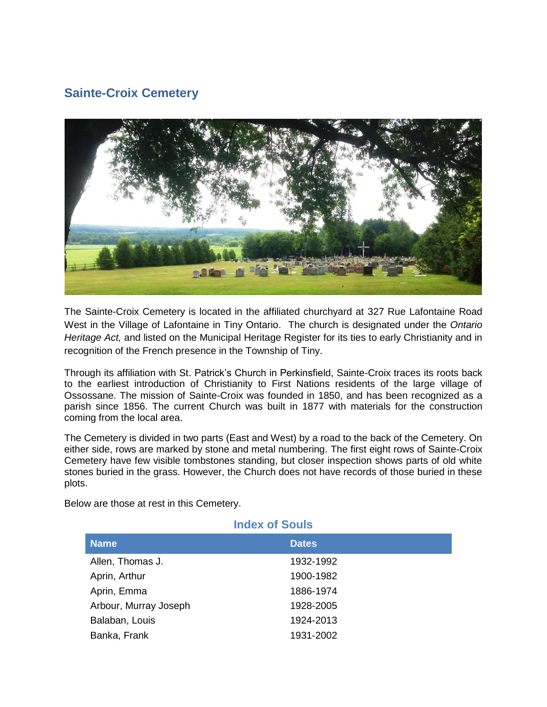## **Sainte-Croix Cemetery**



The Sainte-Croix Cemetery is located in the affiliated churchyard at 327 Rue Lafontaine Road West in the Village of Lafontaine in Tiny Ontario. The church is designated under the *Ontario Heritage Act,* and listed on the Municipal Heritage Register for its ties to early Christianity and in recognition of the French presence in the Township of Tiny.

Through its affiliation with St. Patrick's Church in Perkinsfield, Sainte-Croix traces its roots back to the earliest introduction of Christianity to First Nations residents of the large village of Ossossane. The mission of Sainte-Croix was founded in 1850, and has been recognized as a parish since 1856. The current Church was built in 1877 with materials for the construction coming from the local area.

The Cemetery is divided in two parts (East and West) by a road to the back of the Cemetery. On either side, rows are marked by stone and metal numbering. The first eight rows of Sainte-Croix Cemetery have few visible tombstones standing, but closer inspection shows parts of old white stones buried in the grass. However, the Church does not have records of those buried in these plots.

Below are those at rest in this Cemetery.

| <b>Index of Souls</b> |              |  |
|-----------------------|--------------|--|
| <b>Name</b>           | <b>Dates</b> |  |
| Allen, Thomas J.      | 1932-1992    |  |
| Aprin, Arthur         | 1900-1982    |  |
| Aprin, Emma           | 1886-1974    |  |
| Arbour, Murray Joseph | 1928-2005    |  |
| Balaban, Louis        | 1924-2013    |  |
| Banka, Frank          | 1931-2002    |  |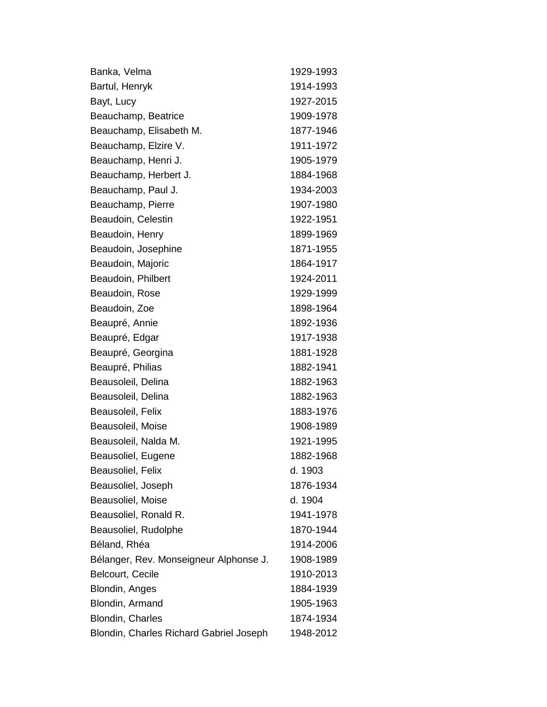| Banka, Velma                            | 1929-1993 |
|-----------------------------------------|-----------|
| Bartul, Henryk                          | 1914-1993 |
| Bayt, Lucy                              | 1927-2015 |
| Beauchamp, Beatrice                     | 1909-1978 |
| Beauchamp, Elisabeth M.                 | 1877-1946 |
| Beauchamp, Elzire V.                    | 1911-1972 |
| Beauchamp, Henri J.                     | 1905-1979 |
| Beauchamp, Herbert J.                   | 1884-1968 |
| Beauchamp, Paul J.                      | 1934-2003 |
| Beauchamp, Pierre                       | 1907-1980 |
| Beaudoin, Celestin                      | 1922-1951 |
| Beaudoin, Henry                         | 1899-1969 |
| Beaudoin, Josephine                     | 1871-1955 |
| Beaudoin, Majoric                       | 1864-1917 |
| Beaudoin, Philbert                      | 1924-2011 |
| Beaudoin, Rose                          | 1929-1999 |
| Beaudoin, Zoe                           | 1898-1964 |
| Beaupré, Annie                          | 1892-1936 |
| Beaupré, Edgar                          | 1917-1938 |
| Beaupré, Georgina                       | 1881-1928 |
| Beaupré, Philias                        | 1882-1941 |
| Beausoleil, Delina                      | 1882-1963 |
| Beausoleil, Delina                      | 1882-1963 |
| Beausoleil, Felix                       | 1883-1976 |
| Beausoleil, Moise                       | 1908-1989 |
| Beausoleil, Nalda M.                    | 1921-1995 |
| Beausoliel, Eugene                      | 1882-1968 |
| Beausoliel, Felix                       | d. 1903   |
| Beausoliel, Joseph                      | 1876-1934 |
| Beausoliel, Moise                       | d. 1904   |
| Beausoliel, Ronald R.                   | 1941-1978 |
| Beausoliel, Rudolphe                    | 1870-1944 |
| Béland, Rhéa                            | 1914-2006 |
| Bélanger, Rev. Monseigneur Alphonse J.  | 1908-1989 |
| <b>Belcourt, Cecile</b>                 | 1910-2013 |
| Blondin, Anges                          | 1884-1939 |
| Blondin, Armand                         | 1905-1963 |
| <b>Blondin, Charles</b>                 | 1874-1934 |
| Blondin, Charles Richard Gabriel Joseph | 1948-2012 |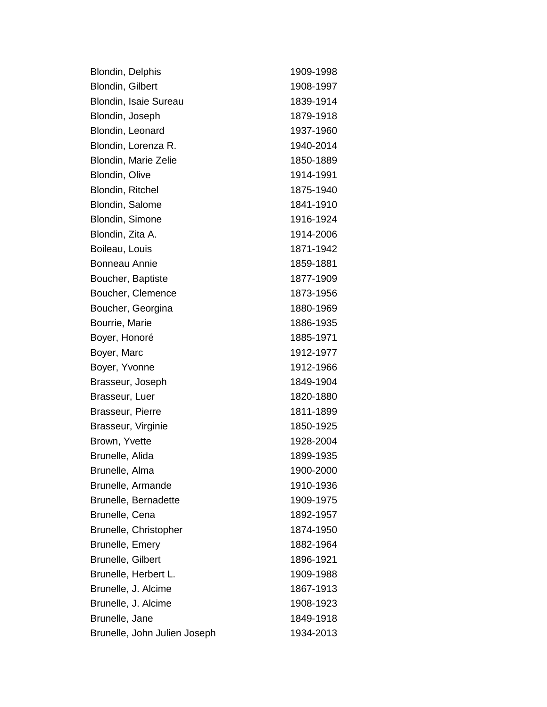| <b>Blondin, Delphis</b>      | 1909-1998 |
|------------------------------|-----------|
| Blondin, Gilbert             | 1908-1997 |
| Blondin, Isaie Sureau        | 1839-1914 |
| Blondin, Joseph              | 1879-1918 |
| Blondin, Leonard             | 1937-1960 |
| Blondin, Lorenza R.          | 1940-2014 |
| Blondin, Marie Zelie         | 1850-1889 |
| Blondin, Olive               | 1914-1991 |
| Blondin, Ritchel             | 1875-1940 |
| Blondin, Salome              | 1841-1910 |
| Blondin, Simone              | 1916-1924 |
| Blondin, Zita A.             | 1914-2006 |
| Boileau, Louis               | 1871-1942 |
| <b>Bonneau Annie</b>         | 1859-1881 |
| Boucher, Baptiste            | 1877-1909 |
| Boucher, Clemence            | 1873-1956 |
| Boucher, Georgina            | 1880-1969 |
| Bourrie, Marie               | 1886-1935 |
| Boyer, Honoré                | 1885-1971 |
| Boyer, Marc                  | 1912-1977 |
| Boyer, Yvonne                | 1912-1966 |
| Brasseur, Joseph             | 1849-1904 |
| Brasseur, Luer               | 1820-1880 |
| Brasseur, Pierre             | 1811-1899 |
| Brasseur, Virginie           | 1850-1925 |
| Brown, Yvette                | 1928-2004 |
| Brunelle, Alida              | 1899-1935 |
| Brunelle, Alma               | 1900-2000 |
| Brunelle, Armande            | 1910-1936 |
| Brunelle, Bernadette         | 1909-1975 |
| Brunelle, Cena               | 1892-1957 |
| Brunelle, Christopher        | 1874-1950 |
| Brunelle, Emery              | 1882-1964 |
| Brunelle, Gilbert            | 1896-1921 |
| Brunelle, Herbert L.         | 1909-1988 |
| Brunelle, J. Alcime          | 1867-1913 |
| Brunelle, J. Alcime          | 1908-1923 |
| Brunelle, Jane               | 1849-1918 |
| Brunelle, John Julien Joseph | 1934-2013 |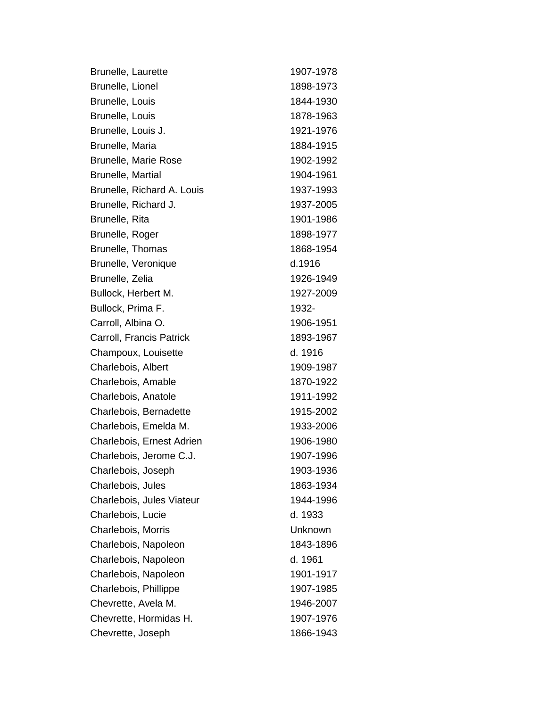| <b>Brunelle, Laurette</b>  | 1907-1978 |
|----------------------------|-----------|
| Brunelle, Lionel           | 1898-1973 |
| Brunelle, Louis            | 1844-1930 |
| Brunelle, Louis            | 1878-1963 |
| Brunelle, Louis J.         | 1921-1976 |
| Brunelle, Maria            | 1884-1915 |
| Brunelle, Marie Rose       | 1902-1992 |
| <b>Brunelle, Martial</b>   | 1904-1961 |
| Brunelle, Richard A. Louis | 1937-1993 |
| Brunelle, Richard J.       | 1937-2005 |
| Brunelle, Rita             | 1901-1986 |
| Brunelle, Roger            | 1898-1977 |
| Brunelle, Thomas           | 1868-1954 |
| Brunelle, Veronique        | d.1916    |
| Brunelle, Zelia            | 1926-1949 |
| Bullock, Herbert M.        | 1927-2009 |
| Bullock, Prima F.          | 1932-     |
| Carroll, Albina O.         | 1906-1951 |
| Carroll, Francis Patrick   | 1893-1967 |
| Champoux, Louisette        | d. 1916   |
| Charlebois, Albert         | 1909-1987 |
| Charlebois, Amable         | 1870-1922 |
| Charlebois, Anatole        | 1911-1992 |
| Charlebois, Bernadette     | 1915-2002 |
| Charlebois, Emelda M.      | 1933-2006 |
| Charlebois, Ernest Adrien  | 1906-1980 |
| Charlebois, Jerome C.J.    | 1907-1996 |
| Charlebois, Joseph         | 1903-1936 |
| Charlebois, Jules          | 1863-1934 |
| Charlebois, Jules Viateur  | 1944-1996 |
| Charlebois, Lucie          | d. 1933   |
| Charlebois, Morris         | Unknown   |
| Charlebois, Napoleon       | 1843-1896 |
| Charlebois, Napoleon       | d. 1961   |
| Charlebois, Napoleon       | 1901-1917 |
| Charlebois, Phillippe      | 1907-1985 |
| Chevrette, Avela M.        | 1946-2007 |
| Chevrette, Hormidas H.     | 1907-1976 |
| Chevrette, Joseph          | 1866-1943 |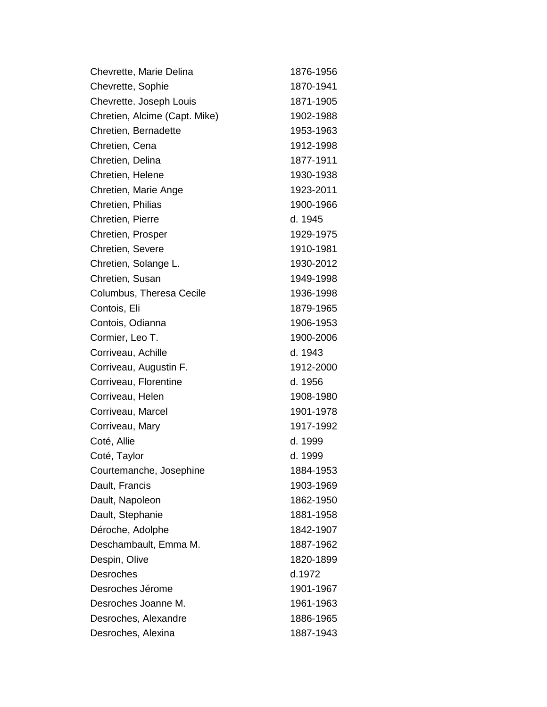| Chevrette, Marie Delina       | 1876-1956 |
|-------------------------------|-----------|
| Chevrette, Sophie             | 1870-1941 |
| Chevrette. Joseph Louis       | 1871-1905 |
| Chretien, Alcime (Capt. Mike) | 1902-1988 |
| Chretien, Bernadette          | 1953-1963 |
| Chretien, Cena                | 1912-1998 |
| Chretien, Delina              | 1877-1911 |
| Chretien, Helene              | 1930-1938 |
| Chretien, Marie Ange          | 1923-2011 |
| Chretien, Philias             | 1900-1966 |
| Chretien, Pierre              | d. 1945   |
| Chretien, Prosper             | 1929-1975 |
| Chretien, Severe              | 1910-1981 |
| Chretien, Solange L.          | 1930-2012 |
| Chretien, Susan               | 1949-1998 |
| Columbus, Theresa Cecile      | 1936-1998 |
| Contois, Eli                  | 1879-1965 |
| Contois, Odianna              | 1906-1953 |
| Cormier, Leo T.               | 1900-2006 |
| Corriveau, Achille            | d. 1943   |
| Corriveau, Augustin F.        | 1912-2000 |
| Corriveau, Florentine         | d. 1956   |
| Corriveau, Helen              | 1908-1980 |
| Corriveau, Marcel             | 1901-1978 |
| Corriveau, Mary               | 1917-1992 |
| Coté, Allie                   | d. 1999   |
| Coté, Taylor                  | d. 1999   |
| Courtemanche, Josephine       | 1884-1953 |
| Dault, Francis                | 1903-1969 |
| Dault, Napoleon               | 1862-1950 |
| Dault, Stephanie              | 1881-1958 |
| Déroche, Adolphe              | 1842-1907 |
| Deschambault, Emma M.         | 1887-1962 |
| Despin, Olive                 | 1820-1899 |
| <b>Desroches</b>              | d.1972    |
| Desroches Jérome              | 1901-1967 |
| Desroches Joanne M.           | 1961-1963 |
| Desroches, Alexandre          | 1886-1965 |
| Desroches, Alexina            | 1887-1943 |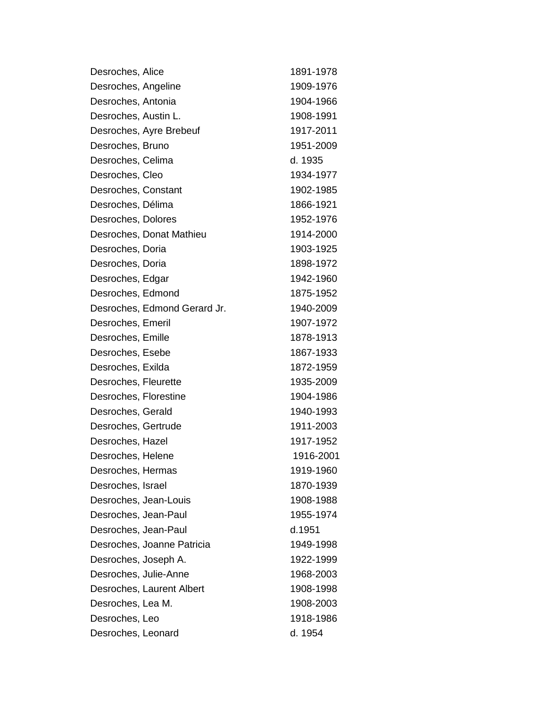| Desroches, Alice             | 1891-1978 |
|------------------------------|-----------|
| Desroches, Angeline          | 1909-1976 |
| Desroches, Antonia           | 1904-1966 |
| Desroches, Austin L.         | 1908-1991 |
| Desroches, Ayre Brebeuf      | 1917-2011 |
| Desroches, Bruno             | 1951-2009 |
| Desroches, Celima            | d. 1935   |
| Desroches, Cleo              | 1934-1977 |
| Desroches, Constant          | 1902-1985 |
| Desroches, Délima            | 1866-1921 |
| Desroches, Dolores           | 1952-1976 |
| Desroches, Donat Mathieu     | 1914-2000 |
| Desroches, Doria             | 1903-1925 |
| Desroches, Doria             | 1898-1972 |
| Desroches, Edgar             | 1942-1960 |
| Desroches, Edmond            | 1875-1952 |
| Desroches, Edmond Gerard Jr. | 1940-2009 |
| Desroches, Emeril            | 1907-1972 |
| Desroches, Emille            | 1878-1913 |
| Desroches, Esebe             | 1867-1933 |
| Desroches, Exilda            | 1872-1959 |
| Desroches, Fleurette         | 1935-2009 |
| Desroches, Florestine        | 1904-1986 |
| Desroches, Gerald            | 1940-1993 |
| Desroches, Gertrude          | 1911-2003 |
| Desroches, Hazel             | 1917-1952 |
| Desroches, Helene            | 1916-2001 |
| Desroches, Hermas            | 1919-1960 |
| Desroches, Israel            | 1870-1939 |
| Desroches, Jean-Louis        | 1908-1988 |
| Desroches, Jean-Paul         | 1955-1974 |
| Desroches, Jean-Paul         | d.1951    |
| Desroches, Joanne Patricia   | 1949-1998 |
| Desroches, Joseph A.         | 1922-1999 |
| Desroches, Julie-Anne        | 1968-2003 |
| Desroches, Laurent Albert    | 1908-1998 |
| Desroches, Lea M.            | 1908-2003 |
| Desroches, Leo               | 1918-1986 |
| Desroches, Leonard           | d. 1954   |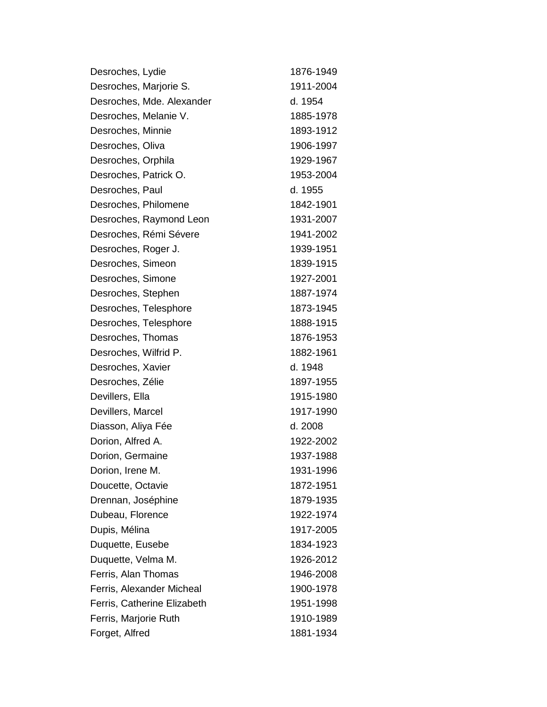| Desroches, Lydie            | 1876-1949 |
|-----------------------------|-----------|
| Desroches, Marjorie S.      | 1911-2004 |
| Desroches, Mde. Alexander   | d. 1954   |
| Desroches, Melanie V.       | 1885-1978 |
| Desroches, Minnie           | 1893-1912 |
| Desroches, Oliva            | 1906-1997 |
| Desroches, Orphila          | 1929-1967 |
| Desroches, Patrick O.       | 1953-2004 |
| Desroches, Paul             | d. 1955   |
| Desroches, Philomene        | 1842-1901 |
| Desroches, Raymond Leon     | 1931-2007 |
| Desroches, Rémi Sévere      | 1941-2002 |
| Desroches, Roger J.         | 1939-1951 |
| Desroches, Simeon           | 1839-1915 |
| Desroches, Simone           | 1927-2001 |
| Desroches, Stephen          | 1887-1974 |
| Desroches, Telesphore       | 1873-1945 |
| Desroches, Telesphore       | 1888-1915 |
| Desroches, Thomas           | 1876-1953 |
| Desroches, Wilfrid P.       | 1882-1961 |
| Desroches, Xavier           | d. 1948   |
| Desroches, Zélie            | 1897-1955 |
| Devillers, Ella             | 1915-1980 |
| Devillers, Marcel           | 1917-1990 |
| Diasson, Aliya Fée          | d. 2008   |
| Dorion, Alfred A.           | 1922-2002 |
| Dorion, Germaine            | 1937-1988 |
| Dorion, Irene M.            | 1931-1996 |
| Doucette, Octavie           | 1872-1951 |
| Drennan, Joséphine          | 1879-1935 |
| Dubeau, Florence            | 1922-1974 |
| Dupis, Mélina               | 1917-2005 |
| Duquette, Eusebe            | 1834-1923 |
| Duquette, Velma M.          | 1926-2012 |
| Ferris, Alan Thomas         | 1946-2008 |
| Ferris, Alexander Micheal   | 1900-1978 |
| Ferris, Catherine Elizabeth | 1951-1998 |
| Ferris, Marjorie Ruth       | 1910-1989 |
| Forget, Alfred              | 1881-1934 |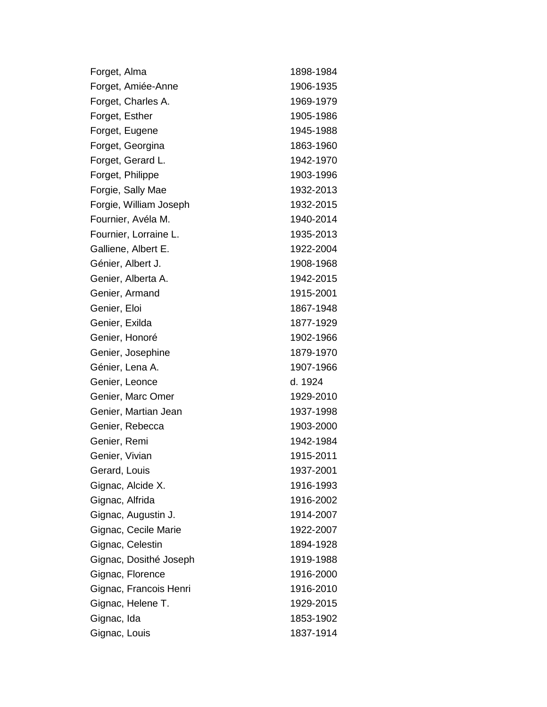| Forget, Alma           | 1898-1984 |
|------------------------|-----------|
| Forget, Amiée-Anne     | 1906-1935 |
| Forget, Charles A.     | 1969-1979 |
| Forget, Esther         | 1905-1986 |
| Forget, Eugene         | 1945-1988 |
| Forget, Georgina       | 1863-1960 |
| Forget, Gerard L.      | 1942-1970 |
| Forget, Philippe       | 1903-1996 |
| Forgie, Sally Mae      | 1932-2013 |
| Forgie, William Joseph | 1932-2015 |
| Fournier, Avéla M.     | 1940-2014 |
| Fournier, Lorraine L.  | 1935-2013 |
| Galliene, Albert E.    | 1922-2004 |
| Génier, Albert J.      | 1908-1968 |
| Genier, Alberta A.     | 1942-2015 |
| Genier, Armand         | 1915-2001 |
| Genier, Eloi           | 1867-1948 |
| Genier, Exilda         | 1877-1929 |
| Genier, Honoré         | 1902-1966 |
| Genier, Josephine      | 1879-1970 |
| Génier, Lena A.        | 1907-1966 |
| Genier, Leonce         | d. 1924   |
| Genier, Marc Omer      | 1929-2010 |
| Genier, Martian Jean   | 1937-1998 |
| Genier, Rebecca        | 1903-2000 |
| Genier, Remi           | 1942-1984 |
| Genier, Vivian         | 1915-2011 |
| Gerard, Louis          | 1937-2001 |
| Gignac, Alcide X.      | 1916-1993 |
| Gignac, Alfrida        | 1916-2002 |
| Gignac, Augustin J.    | 1914-2007 |
| Gignac, Cecile Marie   | 1922-2007 |
| Gignac, Celestin       | 1894-1928 |
| Gignac, Dosithé Joseph | 1919-1988 |
| Gignac, Florence       | 1916-2000 |
| Gignac, Francois Henri | 1916-2010 |
| Gignac, Helene T.      | 1929-2015 |
| Gignac, Ida            | 1853-1902 |
| Gignac, Louis          | 1837-1914 |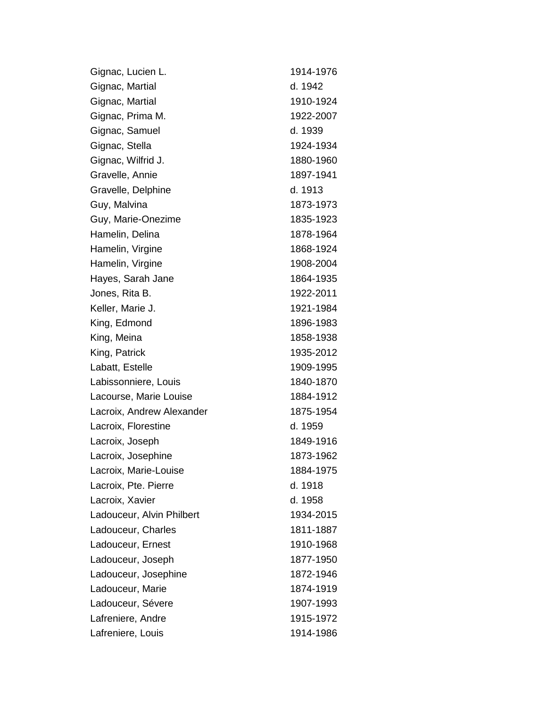| Gignac, Lucien L.         | 1914-1976 |
|---------------------------|-----------|
| Gignac, Martial           | d. 1942   |
| Gignac, Martial           | 1910-1924 |
| Gignac, Prima M.          | 1922-2007 |
| Gignac, Samuel            | d. 1939   |
| Gignac, Stella            | 1924-1934 |
| Gignac, Wilfrid J.        | 1880-1960 |
| Gravelle, Annie           | 1897-1941 |
| Gravelle, Delphine        | d. 1913   |
| Guy, Malvina              | 1873-1973 |
| Guy, Marie-Onezime        | 1835-1923 |
| Hamelin, Delina           | 1878-1964 |
| Hamelin, Virgine          | 1868-1924 |
| Hamelin, Virgine          | 1908-2004 |
| Hayes, Sarah Jane         | 1864-1935 |
| Jones, Rita B.            | 1922-2011 |
| Keller, Marie J.          | 1921-1984 |
| King, Edmond              | 1896-1983 |
| King, Meina               | 1858-1938 |
| King, Patrick             | 1935-2012 |
| Labatt, Estelle           | 1909-1995 |
| Labissonniere, Louis      | 1840-1870 |
| Lacourse, Marie Louise    | 1884-1912 |
| Lacroix, Andrew Alexander | 1875-1954 |
| Lacroix, Florestine       | d. 1959   |
| Lacroix, Joseph           | 1849-1916 |
| Lacroix, Josephine        | 1873-1962 |
| Lacroix, Marie-Louise     | 1884-1975 |
| Lacroix, Pte. Pierre      | d. 1918   |
| Lacroix, Xavier           | d. 1958   |
| Ladouceur, Alvin Philbert | 1934-2015 |
| Ladouceur, Charles        | 1811-1887 |
| Ladouceur, Ernest         | 1910-1968 |
| Ladouceur, Joseph         | 1877-1950 |
| Ladouceur, Josephine      | 1872-1946 |
| Ladouceur, Marie          | 1874-1919 |
| Ladouceur, Sévere         | 1907-1993 |
| Lafreniere, Andre         | 1915-1972 |
| Lafreniere, Louis         | 1914-1986 |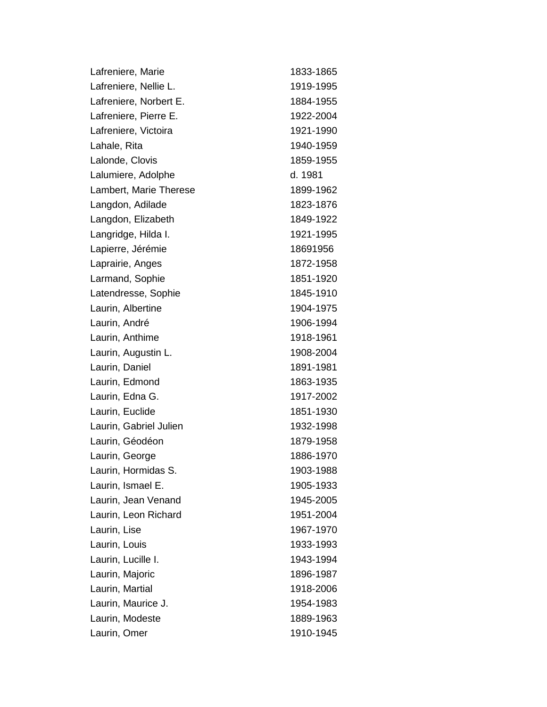| Lafreniere, Marie      | 1833-1865 |
|------------------------|-----------|
| Lafreniere, Nellie L.  | 1919-1995 |
| Lafreniere, Norbert E. | 1884-1955 |
| Lafreniere, Pierre E.  | 1922-2004 |
| Lafreniere, Victoira   | 1921-1990 |
| Lahale, Rita           | 1940-1959 |
| Lalonde, Clovis        | 1859-1955 |
| Lalumiere, Adolphe     | d. 1981   |
| Lambert, Marie Therese | 1899-1962 |
| Langdon, Adilade       | 1823-1876 |
| Langdon, Elizabeth     | 1849-1922 |
| Langridge, Hilda I.    | 1921-1995 |
| Lapierre, Jérémie      | 18691956  |
| Laprairie, Anges       | 1872-1958 |
| Larmand, Sophie        | 1851-1920 |
| Latendresse, Sophie    | 1845-1910 |
| Laurin, Albertine      | 1904-1975 |
| Laurin, André          | 1906-1994 |
| Laurin, Anthime        | 1918-1961 |
| Laurin, Augustin L.    | 1908-2004 |
| Laurin, Daniel         | 1891-1981 |
| Laurin, Edmond         | 1863-1935 |
| Laurin, Edna G.        | 1917-2002 |
| Laurin, Euclide        | 1851-1930 |
| Laurin, Gabriel Julien | 1932-1998 |
| Laurin, Géodéon        | 1879-1958 |
| Laurin, George         | 1886-1970 |
| Laurin, Hormidas S.    | 1903-1988 |
| Laurin, Ismael E.      | 1905-1933 |
| Laurin, Jean Venand    | 1945-2005 |
| Laurin, Leon Richard   | 1951-2004 |
| Laurin, Lise           | 1967-1970 |
| Laurin, Louis          | 1933-1993 |
| Laurin, Lucille I.     | 1943-1994 |
| Laurin, Majoric        | 1896-1987 |
| Laurin, Martial        | 1918-2006 |
| Laurin, Maurice J.     | 1954-1983 |
| Laurin, Modeste        | 1889-1963 |
| Laurin, Omer           | 1910-1945 |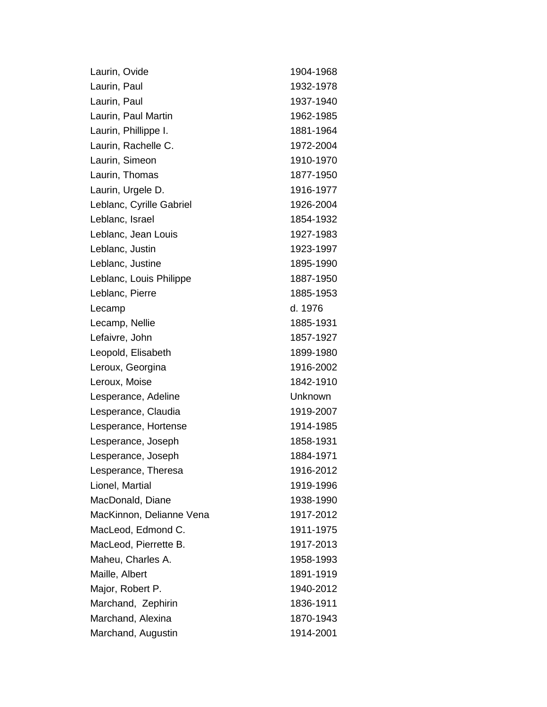| Laurin, Ovide            | 1904-1968 |
|--------------------------|-----------|
| Laurin, Paul             | 1932-1978 |
| Laurin, Paul             | 1937-1940 |
| Laurin, Paul Martin      | 1962-1985 |
| Laurin, Phillippe I.     | 1881-1964 |
| Laurin, Rachelle C.      | 1972-2004 |
| Laurin, Simeon           | 1910-1970 |
| Laurin, Thomas           | 1877-1950 |
| Laurin, Urgele D.        | 1916-1977 |
| Leblanc, Cyrille Gabriel | 1926-2004 |
| Leblanc, Israel          | 1854-1932 |
| Leblanc, Jean Louis      | 1927-1983 |
| Leblanc, Justin          | 1923-1997 |
| Leblanc, Justine         | 1895-1990 |
| Leblanc, Louis Philippe  | 1887-1950 |
| Leblanc, Pierre          | 1885-1953 |
| Lecamp                   | d. 1976   |
| Lecamp, Nellie           | 1885-1931 |
| Lefaivre, John           | 1857-1927 |
| Leopold, Elisabeth       | 1899-1980 |
| Leroux, Georgina         | 1916-2002 |
| Leroux, Moise            | 1842-1910 |
| Lesperance, Adeline      | Unknown   |
| Lesperance, Claudia      | 1919-2007 |
| Lesperance, Hortense     | 1914-1985 |
| Lesperance, Joseph       | 1858-1931 |
| Lesperance, Joseph       | 1884-1971 |
| Lesperance, Theresa      | 1916-2012 |
| Lionel, Martial          | 1919-1996 |
| MacDonald, Diane         | 1938-1990 |
| MacKinnon, Delianne Vena | 1917-2012 |
| MacLeod, Edmond C.       | 1911-1975 |
| MacLeod, Pierrette B.    | 1917-2013 |
| Maheu, Charles A.        | 1958-1993 |
| Maille, Albert           | 1891-1919 |
| Major, Robert P.         | 1940-2012 |
| Marchand, Zephirin       | 1836-1911 |
| Marchand, Alexina        | 1870-1943 |
| Marchand, Augustin       | 1914-2001 |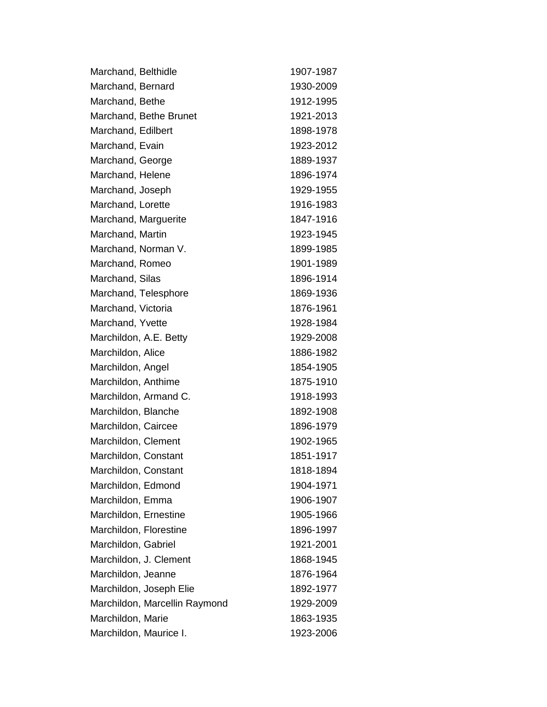| Marchand, Belthidle           | 1907-1987 |
|-------------------------------|-----------|
| Marchand, Bernard             | 1930-2009 |
| Marchand, Bethe               | 1912-1995 |
| Marchand, Bethe Brunet        | 1921-2013 |
| Marchand, Edilbert            | 1898-1978 |
| Marchand, Evain               | 1923-2012 |
| Marchand, George              | 1889-1937 |
| Marchand, Helene              | 1896-1974 |
| Marchand, Joseph              | 1929-1955 |
| Marchand, Lorette             | 1916-1983 |
| Marchand, Marguerite          | 1847-1916 |
| Marchand, Martin              | 1923-1945 |
| Marchand, Norman V.           | 1899-1985 |
| Marchand, Romeo               | 1901-1989 |
| Marchand, Silas               | 1896-1914 |
| Marchand, Telesphore          | 1869-1936 |
| Marchand, Victoria            | 1876-1961 |
| Marchand, Yvette              | 1928-1984 |
| Marchildon, A.E. Betty        | 1929-2008 |
| Marchildon, Alice             | 1886-1982 |
| Marchildon, Angel             | 1854-1905 |
| Marchildon, Anthime           | 1875-1910 |
| Marchildon, Armand C.         | 1918-1993 |
| Marchildon, Blanche           | 1892-1908 |
| Marchildon, Caircee           | 1896-1979 |
| Marchildon, Clement           | 1902-1965 |
| Marchildon, Constant          | 1851-1917 |
| Marchildon, Constant          | 1818-1894 |
| Marchildon, Edmond            | 1904-1971 |
| Marchildon, Emma              | 1906-1907 |
| Marchildon, Ernestine         | 1905-1966 |
| Marchildon, Florestine        | 1896-1997 |
| Marchildon, Gabriel           | 1921-2001 |
| Marchildon, J. Clement        | 1868-1945 |
| Marchildon, Jeanne            | 1876-1964 |
| Marchildon, Joseph Elie       | 1892-1977 |
| Marchildon, Marcellin Raymond | 1929-2009 |
| Marchildon, Marie             | 1863-1935 |
| Marchildon, Maurice I.        | 1923-2006 |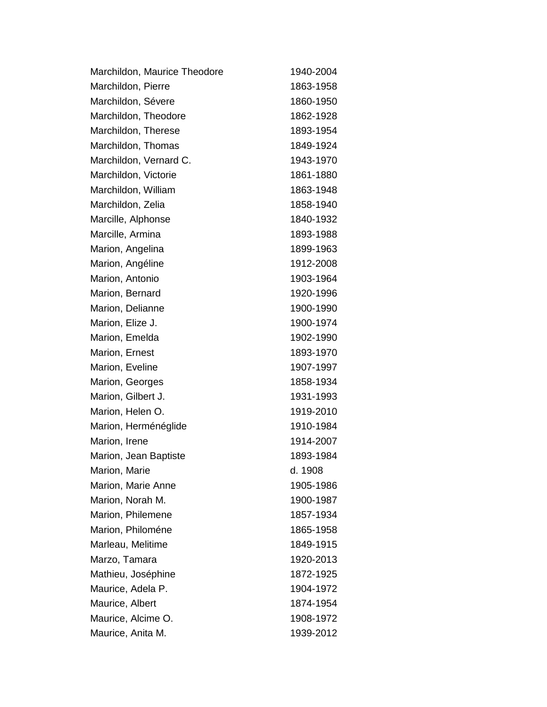| Marchildon, Maurice Theodore | 1940-2004 |
|------------------------------|-----------|
| Marchildon, Pierre           | 1863-1958 |
| Marchildon, Sévere           | 1860-1950 |
| Marchildon, Theodore         | 1862-1928 |
| Marchildon, Therese          | 1893-1954 |
| Marchildon, Thomas           | 1849-1924 |
| Marchildon, Vernard C.       | 1943-1970 |
| Marchildon, Victorie         | 1861-1880 |
| Marchildon, William          | 1863-1948 |
| Marchildon, Zelia            | 1858-1940 |
| Marcille, Alphonse           | 1840-1932 |
| Marcille, Armina             | 1893-1988 |
| Marion, Angelina             | 1899-1963 |
| Marion, Angéline             | 1912-2008 |
| Marion, Antonio              | 1903-1964 |
| Marion, Bernard              | 1920-1996 |
| Marion, Delianne             | 1900-1990 |
| Marion, Elize J.             | 1900-1974 |
| Marion, Emelda               | 1902-1990 |
| Marion, Ernest               | 1893-1970 |
| Marion, Eveline              | 1907-1997 |
| Marion, Georges              | 1858-1934 |
| Marion, Gilbert J.           | 1931-1993 |
| Marion, Helen O.             | 1919-2010 |
| Marion, Herménéglide         | 1910-1984 |
| Marion, Irene                | 1914-2007 |
| Marion, Jean Baptiste        | 1893-1984 |
| Marion, Marie                | d. 1908   |
| Marion, Marie Anne           | 1905-1986 |
| Marion, Norah M.             | 1900-1987 |
| Marion, Philemene            | 1857-1934 |
| Marion, Philoméne            | 1865-1958 |
| Marleau, Melitime            | 1849-1915 |
| Marzo, Tamara                | 1920-2013 |
| Mathieu, Joséphine           | 1872-1925 |
| Maurice, Adela P.            | 1904-1972 |
| Maurice, Albert              | 1874-1954 |
| Maurice, Alcime O.           | 1908-1972 |
| Maurice, Anita M.            | 1939-2012 |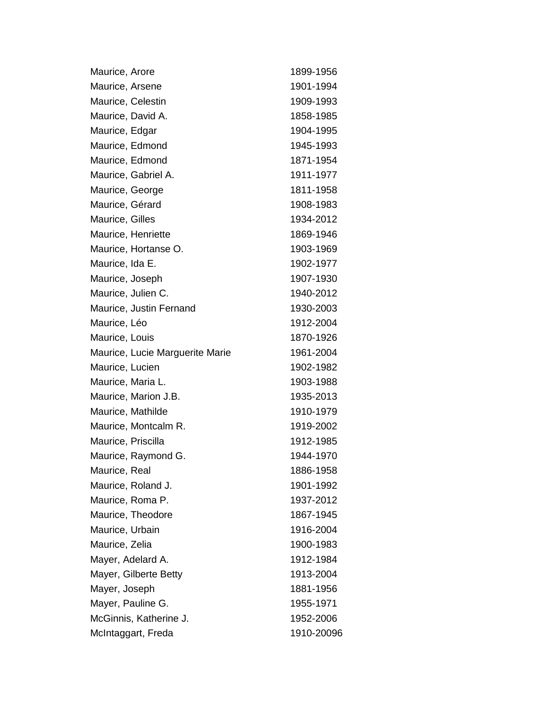| Maurice, Arore                  | 1899-1956  |
|---------------------------------|------------|
| Maurice, Arsene                 | 1901-1994  |
| Maurice, Celestin               | 1909-1993  |
| Maurice, David A.               | 1858-1985  |
| Maurice, Edgar                  | 1904-1995  |
| Maurice, Edmond                 | 1945-1993  |
| Maurice, Edmond                 | 1871-1954  |
| Maurice, Gabriel A.             | 1911-1977  |
| Maurice, George                 | 1811-1958  |
| Maurice, Gérard                 | 1908-1983  |
| Maurice, Gilles                 | 1934-2012  |
| Maurice, Henriette              | 1869-1946  |
| Maurice, Hortanse O.            | 1903-1969  |
| Maurice, Ida E.                 | 1902-1977  |
| Maurice, Joseph                 | 1907-1930  |
| Maurice, Julien C.              | 1940-2012  |
| Maurice, Justin Fernand         | 1930-2003  |
| Maurice, Léo                    | 1912-2004  |
| Maurice, Louis                  | 1870-1926  |
| Maurice, Lucie Marguerite Marie | 1961-2004  |
| Maurice, Lucien                 | 1902-1982  |
| Maurice, Maria L.               | 1903-1988  |
| Maurice, Marion J.B.            | 1935-2013  |
| Maurice, Mathilde               | 1910-1979  |
| Maurice, Montcalm R.            | 1919-2002  |
| Maurice, Priscilla              | 1912-1985  |
| Maurice, Raymond G.             | 1944-1970  |
| Maurice, Real                   | 1886-1958  |
| Maurice, Roland J.              | 1901-1992  |
| Maurice, Roma P.                | 1937-2012  |
| Maurice, Theodore               | 1867-1945  |
| Maurice, Urbain                 | 1916-2004  |
| Maurice, Zelia                  | 1900-1983  |
| Mayer, Adelard A.               | 1912-1984  |
| Mayer, Gilberte Betty           | 1913-2004  |
| Mayer, Joseph                   | 1881-1956  |
| Mayer, Pauline G.               | 1955-1971  |
| McGinnis, Katherine J.          | 1952-2006  |
| McIntaggart, Freda              | 1910-20096 |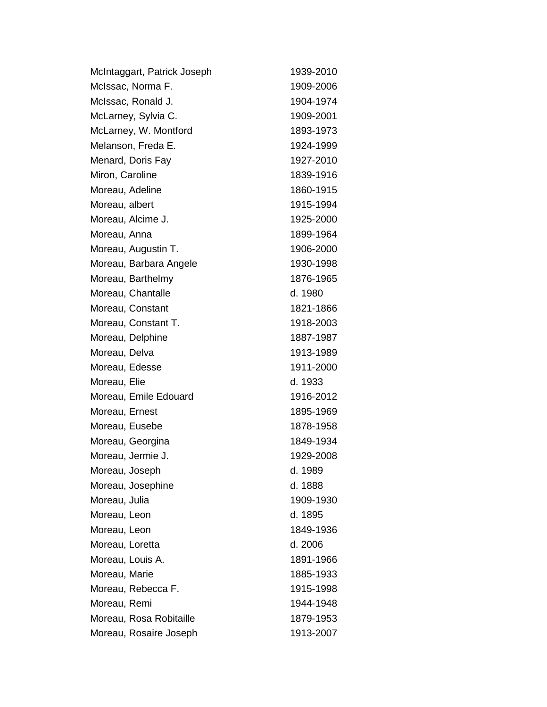| McIntaggart, Patrick Joseph | 1939-2010 |
|-----------------------------|-----------|
| McIssac, Norma F.           | 1909-2006 |
| McIssac, Ronald J.          | 1904-1974 |
| McLarney, Sylvia C.         | 1909-2001 |
| McLarney, W. Montford       | 1893-1973 |
| Melanson, Freda E.          | 1924-1999 |
| Menard, Doris Fay           | 1927-2010 |
| Miron, Caroline             | 1839-1916 |
| Moreau, Adeline             | 1860-1915 |
| Moreau, albert              | 1915-1994 |
| Moreau, Alcime J.           | 1925-2000 |
| Moreau, Anna                | 1899-1964 |
| Moreau, Augustin T.         | 1906-2000 |
| Moreau, Barbara Angele      | 1930-1998 |
| Moreau, Barthelmy           | 1876-1965 |
| Moreau, Chantalle           | d. 1980   |
| Moreau, Constant            | 1821-1866 |
| Moreau, Constant T.         | 1918-2003 |
| Moreau, Delphine            | 1887-1987 |
| Moreau, Delva               | 1913-1989 |
| Moreau, Edesse              | 1911-2000 |
| Moreau, Elie                | d. 1933   |
| Moreau, Emile Edouard       | 1916-2012 |
| Moreau, Ernest              | 1895-1969 |
| Moreau, Eusebe              | 1878-1958 |
| Moreau, Georgina            | 1849-1934 |
| Moreau, Jermie J.           | 1929-2008 |
| Moreau, Joseph              | d. 1989   |
| Moreau, Josephine           | d. 1888   |
| Moreau, Julia               | 1909-1930 |
| Moreau, Leon                | d. 1895   |
| Moreau, Leon                | 1849-1936 |
| Moreau, Loretta             | d. 2006   |
| Moreau, Louis A.            | 1891-1966 |
| Moreau, Marie               | 1885-1933 |
| Moreau, Rebecca F.          | 1915-1998 |
| Moreau, Remi                | 1944-1948 |
| Moreau, Rosa Robitaille     | 1879-1953 |
| Moreau, Rosaire Joseph      | 1913-2007 |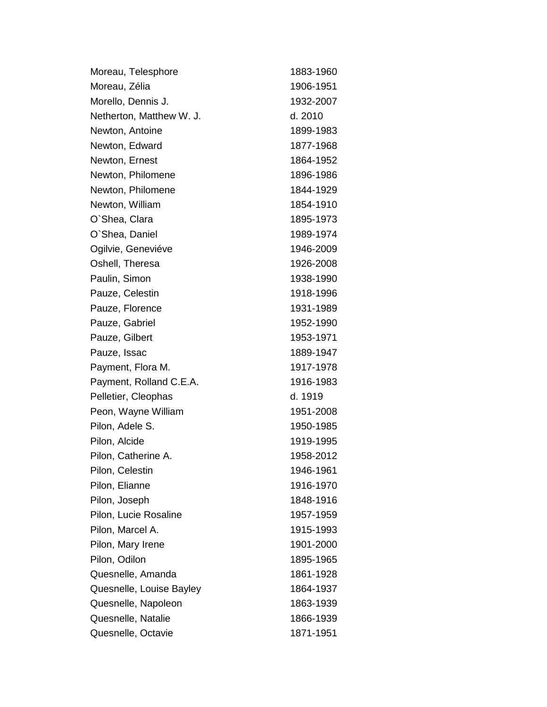| Moreau, Telesphore       | 1883-1960 |
|--------------------------|-----------|
| Moreau, Zélia            | 1906-1951 |
| Morello, Dennis J.       | 1932-2007 |
| Netherton, Matthew W. J. | d. 2010   |
| Newton, Antoine          | 1899-1983 |
| Newton, Edward           | 1877-1968 |
| Newton, Ernest           | 1864-1952 |
| Newton, Philomene        | 1896-1986 |
| Newton, Philomene        | 1844-1929 |
| Newton, William          | 1854-1910 |
| O'Shea, Clara            | 1895-1973 |
| O'Shea, Daniel           | 1989-1974 |
| Ogilvie, Geneviéve       | 1946-2009 |
| Oshell, Theresa          | 1926-2008 |
| Paulin, Simon            | 1938-1990 |
| Pauze, Celestin          | 1918-1996 |
| Pauze, Florence          | 1931-1989 |
| Pauze, Gabriel           | 1952-1990 |
| Pauze, Gilbert           | 1953-1971 |
| Pauze, Issac             | 1889-1947 |
| Payment, Flora M.        | 1917-1978 |
| Payment, Rolland C.E.A.  | 1916-1983 |
| Pelletier, Cleophas      | d. 1919   |
| Peon, Wayne William      | 1951-2008 |
| Pilon, Adele S.          | 1950-1985 |
| Pilon, Alcide            | 1919-1995 |
| Pilon, Catherine A.      | 1958-2012 |
| Pilon, Celestin          | 1946-1961 |
| Pilon, Elianne           | 1916-1970 |
| Pilon, Joseph            | 1848-1916 |
| Pilon, Lucie Rosaline    | 1957-1959 |
| Pilon, Marcel A.         | 1915-1993 |
| Pilon, Mary Irene        | 1901-2000 |
| Pilon, Odilon            | 1895-1965 |
| Quesnelle, Amanda        | 1861-1928 |
| Quesnelle, Louise Bayley | 1864-1937 |
| Quesnelle, Napoleon      | 1863-1939 |
| Quesnelle, Natalie       | 1866-1939 |
| Quesnelle, Octavie       | 1871-1951 |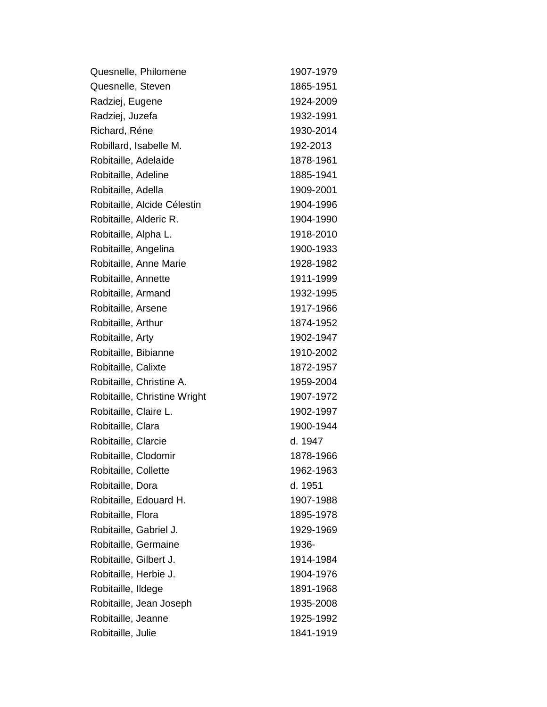| Quesnelle, Philomene         | 1907-1979 |
|------------------------------|-----------|
| Quesnelle, Steven            | 1865-1951 |
| Radziej, Eugene              | 1924-2009 |
| Radziej, Juzefa              | 1932-1991 |
| Richard, Réne                | 1930-2014 |
| Robillard, Isabelle M.       | 192-2013  |
| Robitaille, Adelaide         | 1878-1961 |
| Robitaille, Adeline          | 1885-1941 |
| Robitaille, Adella           | 1909-2001 |
| Robitaille, Alcide Célestin  | 1904-1996 |
| Robitaille, Alderic R.       | 1904-1990 |
| Robitaille, Alpha L.         | 1918-2010 |
| Robitaille, Angelina         | 1900-1933 |
| Robitaille, Anne Marie       | 1928-1982 |
| Robitaille, Annette          | 1911-1999 |
| Robitaille, Armand           | 1932-1995 |
| Robitaille, Arsene           | 1917-1966 |
| Robitaille, Arthur           | 1874-1952 |
| Robitaille, Arty             | 1902-1947 |
| Robitaille, Bibianne         | 1910-2002 |
| Robitaille, Calixte          | 1872-1957 |
| Robitaille, Christine A.     | 1959-2004 |
| Robitaille, Christine Wright | 1907-1972 |
| Robitaille, Claire L.        | 1902-1997 |
| Robitaille, Clara            | 1900-1944 |
| Robitaille, Clarcie          | d. 1947   |
| Robitaille, Clodomir         | 1878-1966 |
| Robitaille, Collette         | 1962-1963 |
| Robitaille, Dora             | d. 1951   |
| Robitaille, Edouard H.       | 1907-1988 |
| Robitaille, Flora            | 1895-1978 |
| Robitaille, Gabriel J.       | 1929-1969 |
| Robitaille, Germaine         | 1936-     |
| Robitaille, Gilbert J.       | 1914-1984 |
| Robitaille, Herbie J.        | 1904-1976 |
| Robitaille, Ildege           | 1891-1968 |
| Robitaille, Jean Joseph      | 1935-2008 |
| Robitaille, Jeanne           | 1925-1992 |
| Robitaille, Julie            | 1841-1919 |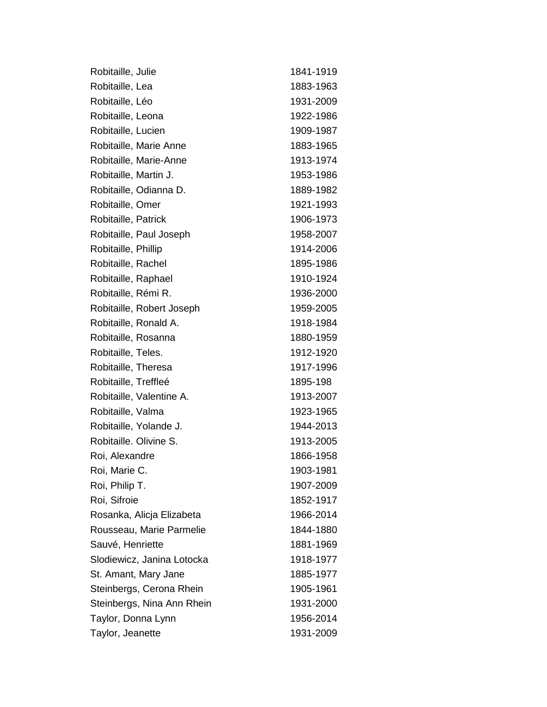| Robitaille, Julie          | 1841-1919 |
|----------------------------|-----------|
| Robitaille, Lea            | 1883-1963 |
| Robitaille, Léo            | 1931-2009 |
| Robitaille, Leona          | 1922-1986 |
| Robitaille, Lucien         | 1909-1987 |
| Robitaille, Marie Anne     | 1883-1965 |
| Robitaille, Marie-Anne     | 1913-1974 |
| Robitaille, Martin J.      | 1953-1986 |
| Robitaille, Odianna D.     | 1889-1982 |
| Robitaille, Omer           | 1921-1993 |
| Robitaille, Patrick        | 1906-1973 |
| Robitaille, Paul Joseph    | 1958-2007 |
| Robitaille, Phillip        | 1914-2006 |
| Robitaille, Rachel         | 1895-1986 |
| Robitaille, Raphael        | 1910-1924 |
| Robitaille, Rémi R.        | 1936-2000 |
| Robitaille, Robert Joseph  | 1959-2005 |
| Robitaille, Ronald A.      | 1918-1984 |
| Robitaille, Rosanna        | 1880-1959 |
| Robitaille, Teles.         | 1912-1920 |
| Robitaille, Theresa        | 1917-1996 |
| Robitaille, Treffleé       | 1895-198  |
| Robitaille, Valentine A.   | 1913-2007 |
| Robitaille, Valma          | 1923-1965 |
| Robitaille, Yolande J.     | 1944-2013 |
| Robitaille. Olivine S.     | 1913-2005 |
| Roi, Alexandre             | 1866-1958 |
| Roi, Marie C.              | 1903-1981 |
| Roi, Philip T.             | 1907-2009 |
| Roi, Sifroie               | 1852-1917 |
| Rosanka, Alicja Elizabeta  | 1966-2014 |
| Rousseau, Marie Parmelie   | 1844-1880 |
| Sauvé, Henriette           | 1881-1969 |
| Slodiewicz, Janina Lotocka | 1918-1977 |
| St. Amant, Mary Jane       | 1885-1977 |
| Steinbergs, Cerona Rhein   | 1905-1961 |
| Steinbergs, Nina Ann Rhein | 1931-2000 |
| Taylor, Donna Lynn         | 1956-2014 |
| Taylor, Jeanette           | 1931-2009 |